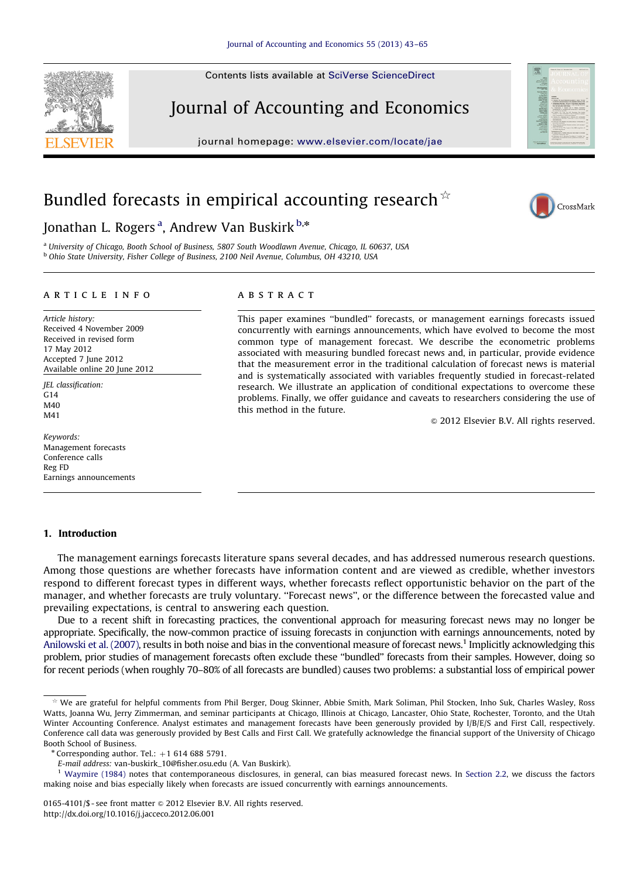Contents lists available at [SciVerse ScienceDirect](www.elsevier.com/locate/jae)

## Journal of Accounting and Economics

journal homepage: <www.elsevier.com/locate/jae>

## Bundled forecasts in empirical accounting research  $\alpha$

### Jonathan L. Rogers <sup>a</sup>, Andrew Van Buskirk <sup>b,</sup>\*

<sup>a</sup> University of Chicago, Booth School of Business, 5807 South Woodlawn Avenue, Chicago, IL 60637, USA <sup>b</sup> Ohio State University, Fisher College of Business, 2100 Neil Avenue, Columbus, OH 43210, USA

#### article info

Article history: Received 4 November 2009 Received in revised form 17 May 2012 Accepted 7 June 2012 Available online 20 June 2012

JEL classification:  $G<sub>14</sub>$ M40 M41

Keywords: Management forecasts Conference calls Reg FD Earnings announcements

1. Introduction

### **ABSTRACT**

This paper examines ''bundled'' forecasts, or management earnings forecasts issued concurrently with earnings announcements, which have evolved to become the most common type of management forecast. We describe the econometric problems associated with measuring bundled forecast news and, in particular, provide evidence that the measurement error in the traditional calculation of forecast news is material and is systematically associated with variables frequently studied in forecast-related research. We illustrate an application of conditional expectations to overcome these problems. Finally, we offer guidance and caveats to researchers considering the use of this method in the future.

 $\odot$  2012 Elsevier B.V. All rights reserved.

Among those questions are whether forecasts have information content and are viewed as credible, whether investors respond to different forecast types in different ways, whether forecasts reflect opportunistic behavior on the part of the manager, and whether forecasts are truly voluntary. ''Forecast news'', or the difference between the forecasted value and prevailing expectations, is central to answering each question. Due to a recent shift in forecasting practices, the conventional approach for measuring forecast news may no longer be

The management earnings forecasts literature spans several decades, and has addressed numerous research questions.

appropriate. Specifically, the now-common practice of issuing forecasts in conjunction with earnings announcements, noted by [Anilowski et al. \(2007\)](#page--1-0), results in both noise and bias in the conventional measure of forecast news.<sup>1</sup> Implicitly acknowledging this problem, prior studies of management forecasts often exclude these ''bundled'' forecasts from their samples. However, doing so for recent periods (when roughly 70–80% of all forecasts are bundled) causes two problems: a substantial loss of empirical power

E-mail address: [van-buskirk\\_10@fisher.osu.edu \(A. Van Buskirk\)](mailto:van-buskirk_10@fisher.osu.edu).

<sup>1</sup> [Waymire \(1984\)](#page--1-0) notes that contemporaneous disclosures, in general, can bias measured forecast news. In [Section 2.2](#page--1-0), we discuss the factors making noise and bias especially likely when forecasts are issued concurrently with earnings announcements.

0165-4101/\$ - see front matter  $\odot$  2012 Elsevier B.V. All rights reserved. [http://dx.doi.org/10.1016/j.jacceco.2012.06.001](dx.doi.org/10.1016/j.jacceco.2012.06.001)





CrossMark

 $*$  We are grateful for helpful comments from Phil Berger, Doug Skinner, Abbie Smith, Mark Soliman, Phil Stocken, Inho Suk, Charles Wasley, Ross Watts, Joanna Wu, Jerry Zimmerman, and seminar participants at Chicago, Illinois at Chicago, Lancaster, Ohio State, Rochester, Toronto, and the Utah Winter Accounting Conference. Analyst estimates and management forecasts have been generously provided by I/B/E/S and First Call, respectively. Conference call data was generously provided by Best Calls and First Call. We gratefully acknowledge the financial support of the University of Chicago Booth School of Business.

 $*$  Corresponding author. Tel.:  $+1$  614 688 5791.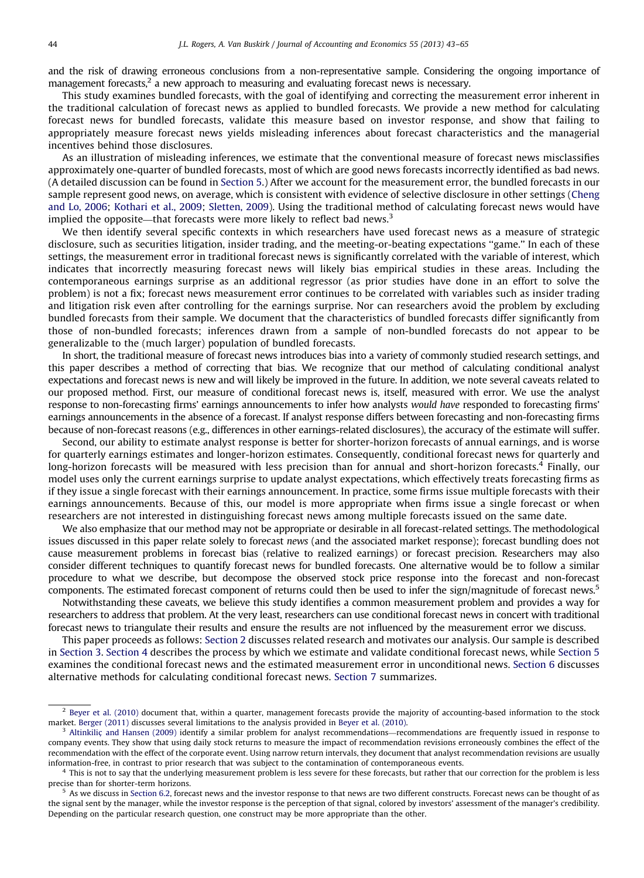and the risk of drawing erroneous conclusions from a non-representative sample. Considering the ongoing importance of management forecasts,<sup>2</sup> a new approach to measuring and evaluating forecast news is necessary.

This study examines bundled forecasts, with the goal of identifying and correcting the measurement error inherent in the traditional calculation of forecast news as applied to bundled forecasts. We provide a new method for calculating forecast news for bundled forecasts, validate this measure based on investor response, and show that failing to appropriately measure forecast news yields misleading inferences about forecast characteristics and the managerial incentives behind those disclosures.

As an illustration of misleading inferences, we estimate that the conventional measure of forecast news misclassifies approximately one-quarter of bundled forecasts, most of which are good news forecasts incorrectly identified as bad news. (A detailed discussion can be found in [Section 5](#page--1-0).) After we account for the measurement error, the bundled forecasts in our sample represent good news, on average, which is consistent with evidence of selective disclosure in other settings [\(Cheng](#page--1-0) [and Lo, 2006;](#page--1-0) [Kothari et al., 2009;](#page--1-0) [Sletten, 2009](#page--1-0)). Using the traditional method of calculating forecast news would have implied the opposite—that forecasts were more likely to reflect bad news. $3$ 

We then identify several specific contexts in which researchers have used forecast news as a measure of strategic disclosure, such as securities litigation, insider trading, and the meeting-or-beating expectations ''game.'' In each of these settings, the measurement error in traditional forecast news is significantly correlated with the variable of interest, which indicates that incorrectly measuring forecast news will likely bias empirical studies in these areas. Including the contemporaneous earnings surprise as an additional regressor (as prior studies have done in an effort to solve the problem) is not a fix; forecast news measurement error continues to be correlated with variables such as insider trading and litigation risk even after controlling for the earnings surprise. Nor can researchers avoid the problem by excluding bundled forecasts from their sample. We document that the characteristics of bundled forecasts differ significantly from those of non-bundled forecasts; inferences drawn from a sample of non-bundled forecasts do not appear to be generalizable to the (much larger) population of bundled forecasts.

In short, the traditional measure of forecast news introduces bias into a variety of commonly studied research settings, and this paper describes a method of correcting that bias. We recognize that our method of calculating conditional analyst expectations and forecast news is new and will likely be improved in the future. In addition, we note several caveats related to our proposed method. First, our measure of conditional forecast news is, itself, measured with error. We use the analyst response to non-forecasting firms' earnings announcements to infer how analysts would have responded to forecasting firms' earnings announcements in the absence of a forecast. If analyst response differs between forecasting and non-forecasting firms because of non-forecast reasons (e.g., differences in other earnings-related disclosures), the accuracy of the estimate will suffer.

Second, our ability to estimate analyst response is better for shorter-horizon forecasts of annual earnings, and is worse for quarterly earnings estimates and longer-horizon estimates. Consequently, conditional forecast news for quarterly and long-horizon forecasts will be measured with less precision than for annual and short-horizon forecasts.<sup>4</sup> Finally, our model uses only the current earnings surprise to update analyst expectations, which effectively treats forecasting firms as if they issue a single forecast with their earnings announcement. In practice, some firms issue multiple forecasts with their earnings announcements. Because of this, our model is more appropriate when firms issue a single forecast or when researchers are not interested in distinguishing forecast news among multiple forecasts issued on the same date.

We also emphasize that our method may not be appropriate or desirable in all forecast-related settings. The methodological issues discussed in this paper relate solely to forecast news (and the associated market response); forecast bundling does not cause measurement problems in forecast bias (relative to realized earnings) or forecast precision. Researchers may also consider different techniques to quantify forecast news for bundled forecasts. One alternative would be to follow a similar procedure to what we describe, but decompose the observed stock price response into the forecast and non-forecast components. The estimated forecast component of returns could then be used to infer the sign/magnitude of forecast news.<sup>5</sup>

Notwithstanding these caveats, we believe this study identifies a common measurement problem and provides a way for researchers to address that problem. At the very least, researchers can use conditional forecast news in concert with traditional forecast news to triangulate their results and ensure the results are not influenced by the measurement error we discuss.

This paper proceeds as follows: [Section 2](#page--1-0) discusses related research and motivates our analysis. Our sample is described in [Section 3.](#page--1-0) [Section 4](#page--1-0) describes the process by which we estimate and validate conditional forecast news, while [Section 5](#page--1-0) examines the conditional forecast news and the estimated measurement error in unconditional news. [Section 6](#page--1-0) discusses alternative methods for calculating conditional forecast news. [Section 7](#page--1-0) summarizes.

 $<sup>2</sup>$  [Beyer et al. \(2010\)](#page--1-0) document that, within a quarter, management forecasts provide the majority of accounting-based information to the stock</sup> market. [Berger \(2011\)](#page--1-0) discusses several limitations to the analysis provided in [Beyer et al. \(2010\)](#page--1-0).

[Altinkilic](#page--1-0) [and Hansen \(2009\)](#page--1-0) identify a similar problem for analyst recommendations—recommendations are frequently issued in response to company events. They show that using daily stock returns to measure the impact of recommendation revisions erroneously combines the effect of the recommendation with the effect of the corporate event. Using narrow return intervals, they document that analyst recommendation revisions are usually information-free, in contrast to prior research that was subject to the contamination of contemporaneous events.

This is not to say that the underlying measurement problem is less severe for these forecasts, but rather that our correction for the problem is less precise than for shorter-term horizons.

<sup>&</sup>lt;sup>5</sup> As we discuss in [Section 6.2,](#page--1-0) forecast news and the investor response to that news are two different constructs. Forecast news can be thought of as the signal sent by the manager, while the investor response is the perception of that signal, colored by investors' assessment of the manager's credibility. Depending on the particular research question, one construct may be more appropriate than the other.